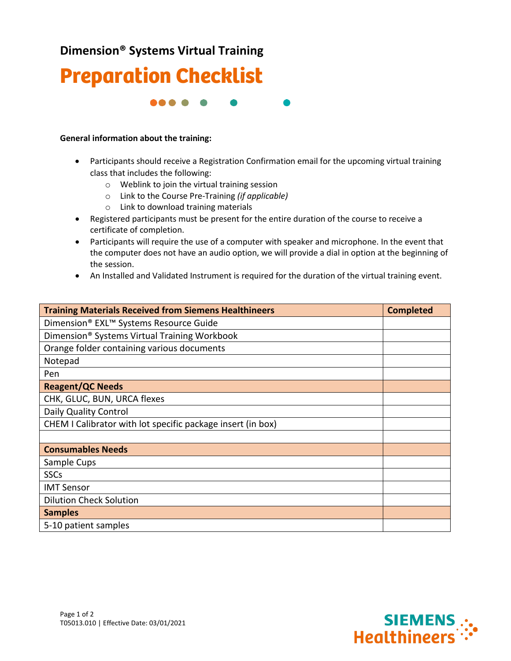**Dimension® Systems Virtual Training**



66 O O

## **General information about the training:**

- Participants should receive a Registration Confirmation email for the upcoming virtual training class that includes the following:
	- o Weblink to join the virtual training session
	- o Link to the Course Pre-Training *(if applicable)*
	- o Link to download training materials
- Registered participants must be present for the entire duration of the course to receive a certificate of completion.
- Participants will require the use of a computer with speaker and microphone. In the event that the computer does not have an audio option, we will provide a dial in option at the beginning of the session.
- An Installed and Validated Instrument is required for the duration of the virtual training event.

| <b>Training Materials Received from Siemens Healthineers</b> | <b>Completed</b> |
|--------------------------------------------------------------|------------------|
| Dimension® EXL™ Systems Resource Guide                       |                  |
| Dimension® Systems Virtual Training Workbook                 |                  |
| Orange folder containing various documents                   |                  |
| Notepad                                                      |                  |
| Pen                                                          |                  |
| <b>Reagent/QC Needs</b>                                      |                  |
| CHK, GLUC, BUN, URCA flexes                                  |                  |
| Daily Quality Control                                        |                  |
| CHEM I Calibrator with lot specific package insert (in box)  |                  |
|                                                              |                  |
| <b>Consumables Needs</b>                                     |                  |
| Sample Cups                                                  |                  |
| <b>SSCs</b>                                                  |                  |
| <b>IMT Sensor</b>                                            |                  |
| <b>Dilution Check Solution</b>                               |                  |
| <b>Samples</b>                                               |                  |
| 5-10 patient samples                                         |                  |